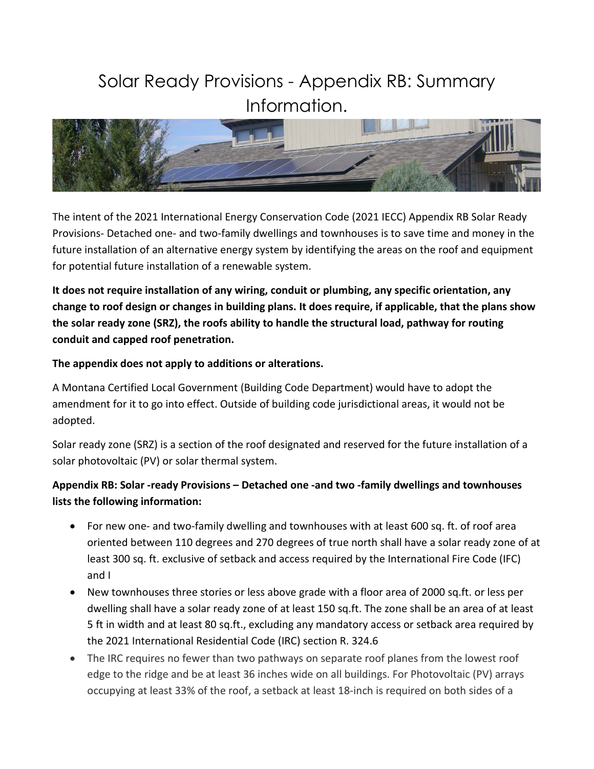## Solar Ready Provisions - Appendix RB: Summary Information.



The intent of the 2021 International Energy Conservation Code (2021 IECC) Appendix RB Solar Ready Provisions- Detached one- and two-family dwellings and townhouses is to save time and money in the future installation of an alternative energy system by identifying the areas on the roof and equipment for potential future installation of a renewable system.

**It does not require installation of any wiring, conduit or plumbing, any specific orientation, any change to roof design or changes in building plans. It does require, if applicable, that the plans show the solar ready zone (SRZ), the roofs ability to handle the structural load, pathway for routing conduit and capped roof penetration.** 

**The appendix does not apply to additions or alterations.** 

A Montana Certified Local Government (Building Code Department) would have to adopt the amendment for it to go into effect. Outside of building code jurisdictional areas, it would not be adopted.

Solar ready zone (SRZ) is a section of the roof designated and reserved for the future installation of a solar photovoltaic (PV) or solar thermal system.

## **Appendix RB: Solar -ready Provisions – Detached one -and two -family dwellings and townhouses lists the following information:**

- For new one- and two-family dwelling and townhouses with at least 600 sq. ft. of roof area oriented between 110 degrees and 270 degrees of true north shall have a solar ready zone of at least 300 sq. ft. exclusive of setback and access required by the International Fire Code (IFC) and I
- New townhouses three stories or less above grade with a floor area of 2000 sq.ft. or less per dwelling shall have a solar ready zone of at least 150 sq.ft. The zone shall be an area of at least 5 ft in width and at least 80 sq.ft., excluding any mandatory access or setback area required by the 2021 International Residential Code (IRC) section R. 324.6
- The IRC requires no fewer than two pathways on separate roof planes from the lowest roof edge to the ridge and be at least 36 inches wide on all buildings. For Photovoltaic (PV) arrays occupying at least 33% of the roof, a setback at least 18-inch is required on both sides of a